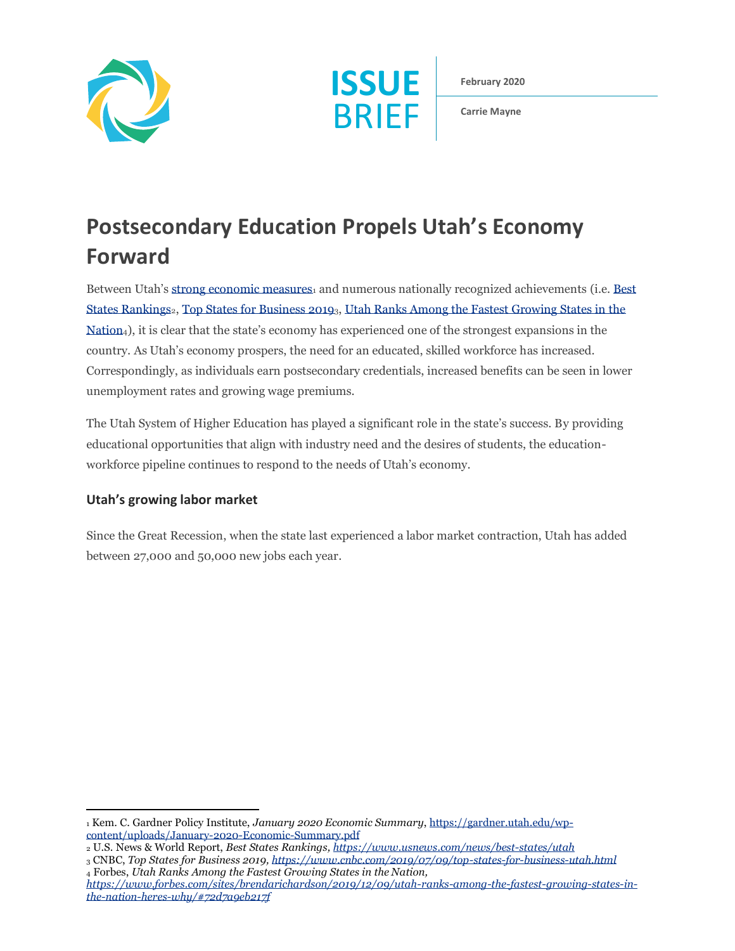



**February 2020**

**Carrie Mayne**

# **Postsecondary Education Propels Utah's Economy Forward**

Between Utah's [strong economic measures](https://gardner.utah.edu/wp-content/uploads/January-2020-Economic-Summary.pdf)<sub>1</sub> and numerous nationally recognized achievements (i.e. Best [States Rankings](https://www.usnews.com/news/best-states/utah)<sub>2</sub>[, Top States for Business 2019](https://www.cnbc.com/2019/07/09/top-states-for-business-utah.html)<sub>3</sub>, Utah Ranks Among the Fastest Growing States in the [Nation](https://www.forbes.com/sites/brendarichardson/2019/12/09/utah-ranks-among-the-fastest-growing-states-in-the-nation-heres-why/#72d7a9eb217f)4), it is clear that the state's economy has experienced one of the strongest expansions in the country. As Utah's economy prospers, the need for an educated, skilled workforce has increased. Correspondingly, as individuals earn postsecondary credentials, increased benefits can be seen in lower unemployment rates and growing wage premiums.

The Utah System of Higher Education has played a significant role in the state's success. By providing educational opportunities that align with industry need and the desires of students, the educationworkforce pipeline continues to respond to the needs of Utah's economy.

### **Utah's growing labor market**

Since the Great Recession, when the state last experienced a labor market contraction, Utah has added between 27,000 and 50,000 new jobs each year.

<sup>1</sup> Kem. C. Gardner Policy Institute, *January 2020 Economic Summary*[, https://gardner.utah.edu/wp](https://gardner.utah.edu/wp-content/uploads/January-2020-Economic-Summary.pdf)[content/uploads/January-2020-Economic-Summary.pdf](https://gardner.utah.edu/wp-content/uploads/January-2020-Economic-Summary.pdf)

<sup>2</sup> U.S. News & World Report, *Best States Rankings[, https://www.usnews.com/news/best-states/utah](https://www.usnews.com/news/best-states/utah)*

<sup>3</sup> CNBC, *Top States for Business 2019[, https://www.cnbc.com/2019/07/09/top-states-for-business-utah.html](https://www.cnbc.com/2019/07/09/top-states-for-business-utah.html)* <sup>4</sup> Forbes, *Utah Ranks Among the Fastest Growing States in the Nation,* 

*[https://www.forbes.com/sites/brendarichardson/2019/12/09/utah-ranks-among-the-fastest-growing-states-in](https://www.forbes.com/sites/brendarichardson/2019/12/09/utah-ranks-among-the-fastest-growing-states-in-the-nation-heres-why/#72d7a9eb217f)[the-nation-heres-why/#72d7a9eb217f](https://www.forbes.com/sites/brendarichardson/2019/12/09/utah-ranks-among-the-fastest-growing-states-in-the-nation-heres-why/#72d7a9eb217f)*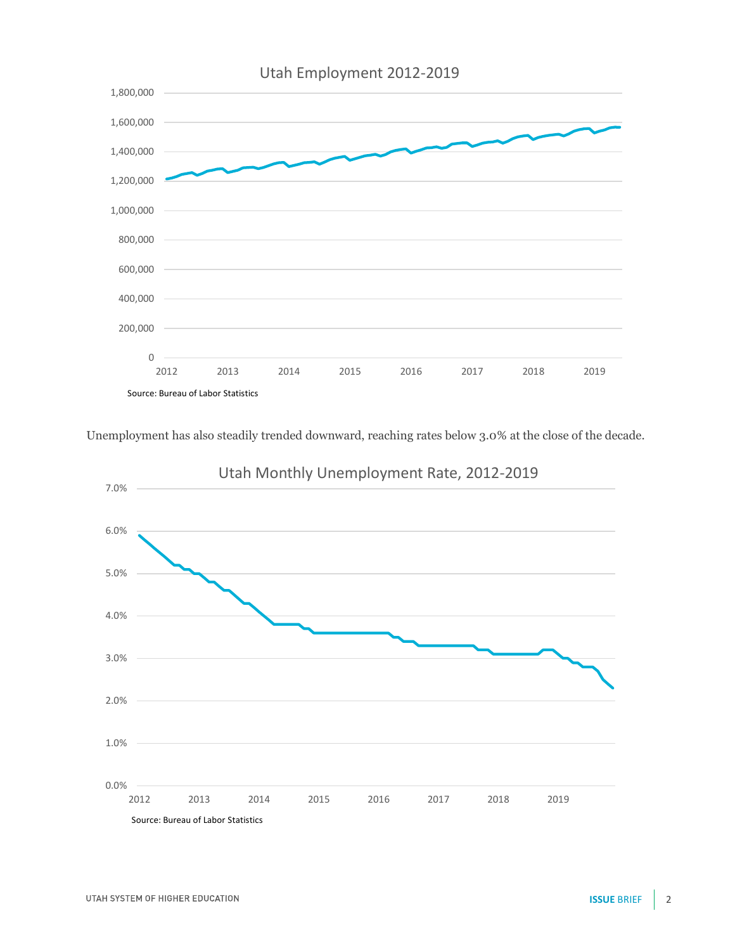

Unemployment has also steadily trended downward, reaching rates below 3.0% at the close of the decade.



## Utah Monthly Unemployment Rate, 2012-2019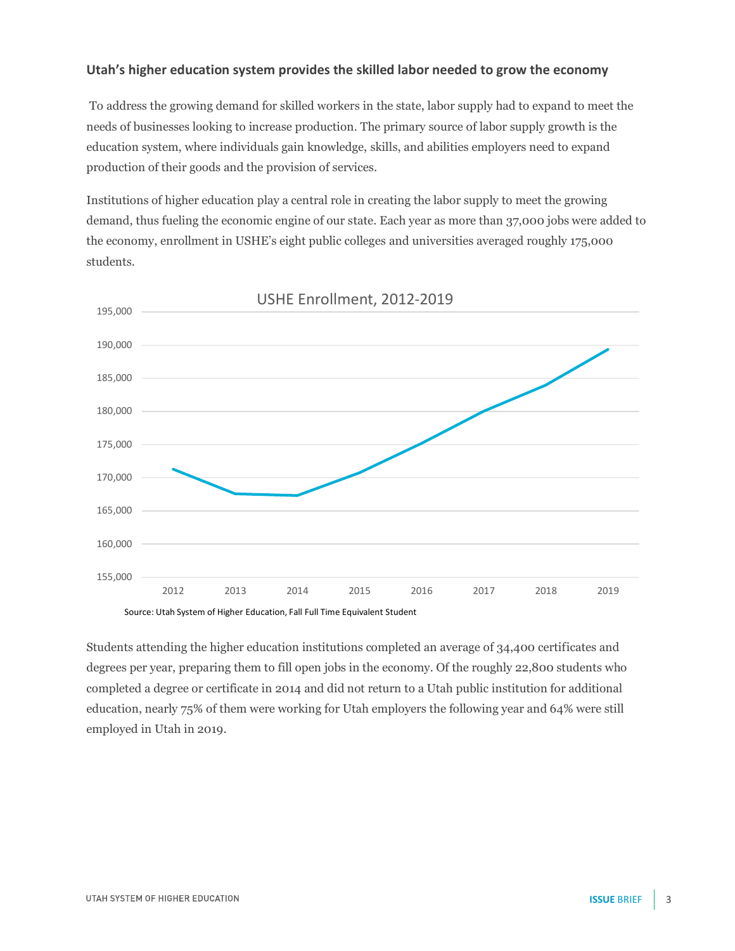#### **Utah's higher education system provides the skilled labor needed to grow the economy**

To address the growing demand for skilled workers in the state, labor supply had to expand to meet the needs of businesses looking to increase production. The primary source of labor supply growth is the education system, where individuals gain knowledge, skills, and abilities employers need to expand production of their goods and the provision of services.

Institutions of higher education play a central role in creating the labor supply to meet the growing demand, thus fueling the economic engine of our state. Each year as more than 37,000 jobs were added to the economy, enrollment in USHE's eight public colleges and universities averaged roughly 175,000 students.



Source: Utah System of Higher Education, Fall Full Time Equivalent Student

Students attending the higher education institutions completed an average of 34,400 certificates and degrees per year, preparing them to fill open jobs in the economy. Of the roughly 22,800 students who completed a degree or certificate in 2014 and did not return to a Utah public institution for additional education, nearly 75% of them were working for Utah employers the following year and 64% were still employed in Utah in 2019.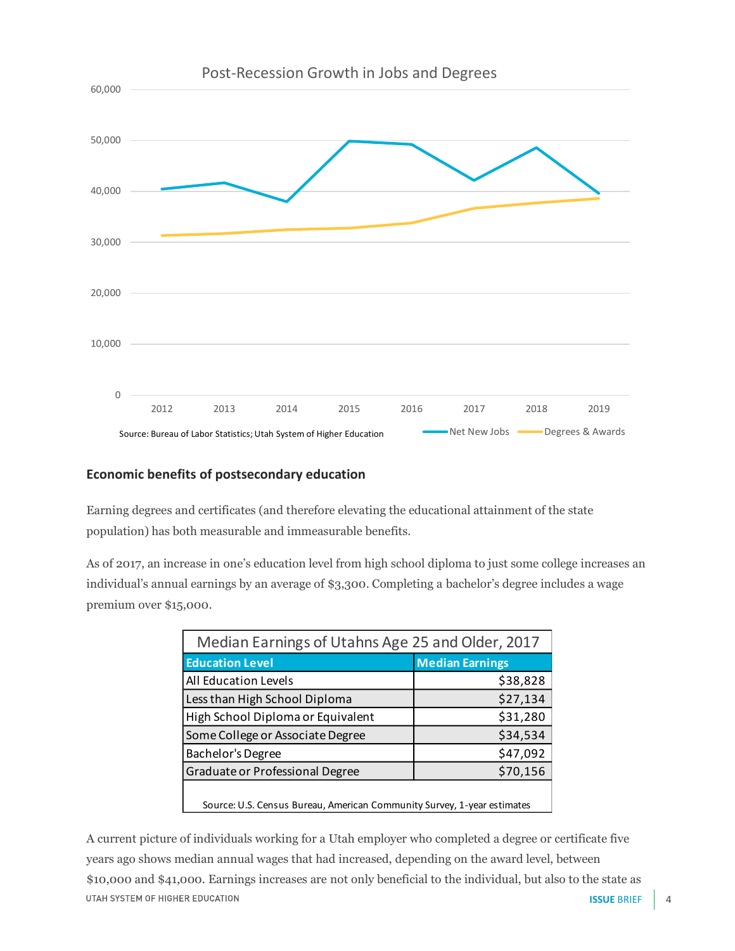

#### **Economic benefits of postsecondary education**

Earning degrees and certificates (and therefore elevating the educational attainment of the state population) has both measurable and immeasurable benefits.

As of 2017, an increase in one's education level from high school diploma to just some college increases an individual's annual earnings by an average of \$3,300. Completing a bachelor's degree includes a wage premium over \$15,000.

| Median Earnings of Utahns Age 25 and Older, 2017                        |                        |  |
|-------------------------------------------------------------------------|------------------------|--|
| <b>Education Level</b>                                                  | <b>Median Earnings</b> |  |
| All Education Levels                                                    | \$38,828               |  |
| Less than High School Diploma                                           | \$27,134               |  |
| High School Diploma or Equivalent                                       | \$31,280               |  |
| Some College or Associate Degree                                        | \$34,534               |  |
| Bachelor's Degree                                                       | \$47,092               |  |
| Graduate or Professional Degree                                         | \$70,156               |  |
| Source: U.S. Census Bureau, American Community Survey, 1-year estimates |                        |  |

A current picture of individuals working for a Utah employer who completed a degree or certificate five years ago shows median annual wages that had increased, depending on the award level, between \$10,000 and \$41,000. Earnings increases are not only beneficial to the individual, but also to the state as UTAH SYSTEM OF HIGHER EDUCATION **ISSUE** BRIEF 4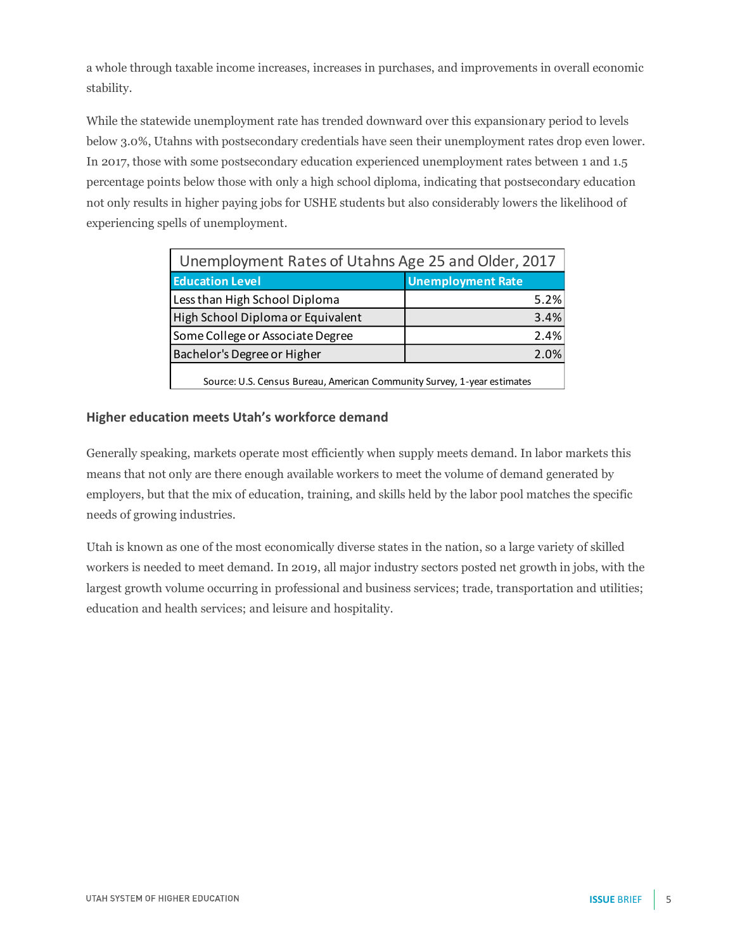a whole through taxable income increases, increases in purchases, and improvements in overall economic stability.

While the statewide unemployment rate has trended downward over this expansionary period to levels below 3.0%, Utahns with postsecondary credentials have seen their unemployment rates drop even lower. In 2017, those with some postsecondary education experienced unemployment rates between 1 and 1.5 percentage points below those with only a high school diploma, indicating that postsecondary education not only results in higher paying jobs for USHE students but also considerably lowers the likelihood of experiencing spells of unemployment.

| Unemployment Rates of Utahns Age 25 and Older, 2017                     |                          |  |
|-------------------------------------------------------------------------|--------------------------|--|
| <b>Education Level</b>                                                  | <b>Unemployment Rate</b> |  |
| Less than High School Diploma                                           | 5.2%                     |  |
| High School Diploma or Equivalent                                       | 3.4%                     |  |
| Some College or Associate Degree                                        | 2.4%                     |  |
| Bachelor's Degree or Higher                                             | 2.0%                     |  |
| Source: U.S. Census Bureau, American Community Survey, 1-year estimates |                          |  |

Source: U.S. Census Bureau, American Community Survey, 1-year estimates

#### **Higher education meets Utah's workforce demand**

Generally speaking, markets operate most efficiently when supply meets demand. In labor markets this means that not only are there enough available workers to meet the volume of demand generated by employers, but that the mix of education, training, and skills held by the labor pool matches the specific needs of growing industries.

Utah is known as one of the most economically diverse states in the nation, so a large variety of skilled workers is needed to meet demand. In 2019, all major industry sectors posted net growth in jobs, with the largest growth volume occurring in professional and business services; trade, transportation and utilities; education and health services; and leisure and hospitality.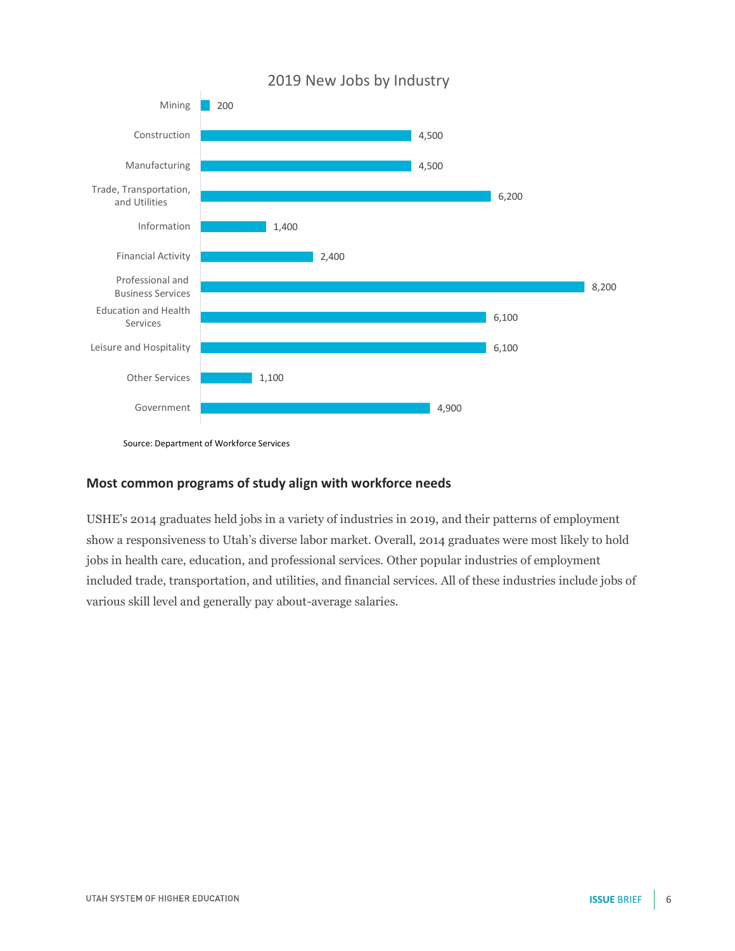

<sup>2019</sup> New Jobs by Industry

#### **Most common programs of study align with workforce needs**

USHE's 2014 graduates held jobs in a variety of industries in 2019, and their patterns of employment show a responsiveness to Utah's diverse labor market. Overall, 2014 graduates were most likely to hold jobs in health care, education, and professional services. Other popular industries of employment included trade, transportation, and utilities, and financial services. All of these industries include jobs of various skill level and generally pay about-average salaries.

Source: Department of Workforce Services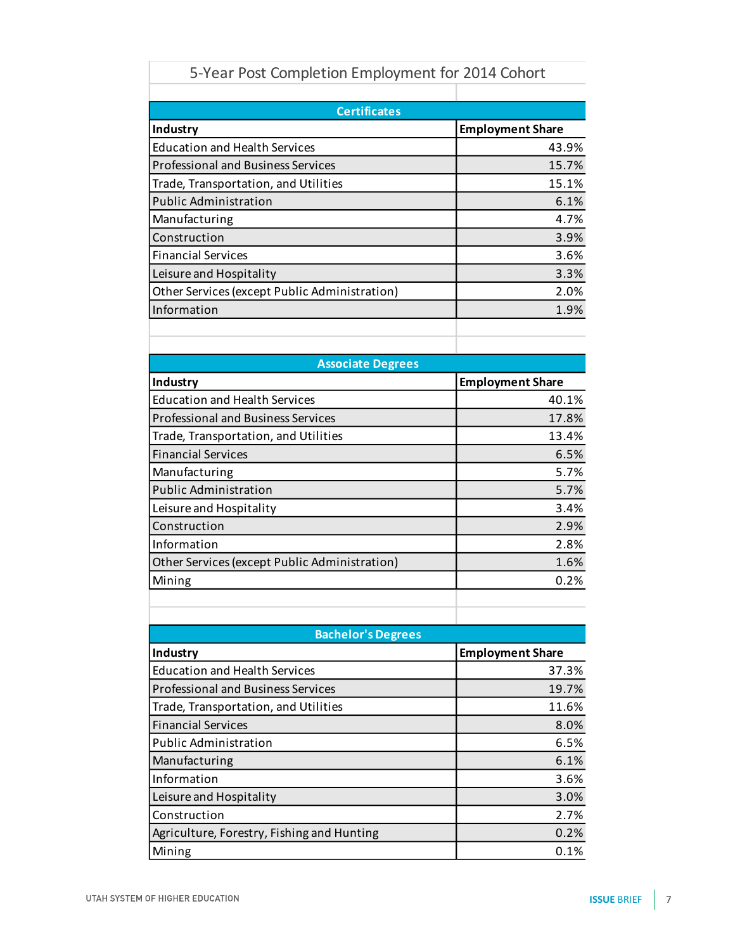| 5-Year Post Completion Employment for 2014 Cohort |                         |  |
|---------------------------------------------------|-------------------------|--|
|                                                   |                         |  |
| <b>Education and Health Services</b>              | 43.9%                   |  |
| <b>Professional and Business Services</b>         | 15.7%                   |  |
| Trade, Transportation, and Utilities              | 15.1%                   |  |
| <b>Public Administration</b>                      | 6.1%                    |  |
| Manufacturing                                     | 4.7%                    |  |
| Construction                                      | 3.9%                    |  |
| <b>Financial Services</b>                         | 3.6%                    |  |
| Leisure and Hospitality                           | 3.3%                    |  |
| Other Services (except Public Administration)     | 2.0%                    |  |
| Information                                       | 1.9%                    |  |
|                                                   |                         |  |
|                                                   |                         |  |
| <b>Associate Degrees</b>                          |                         |  |
| Industry                                          | <b>Employment Share</b> |  |
| <b>Education and Health Services</b>              | 40.1%                   |  |
| <b>Professional and Business Services</b>         | 17.8%                   |  |
| Trade, Transportation, and Utilities              | 13.4%                   |  |
| <b>Financial Services</b>                         | 6.5%                    |  |
| Manufacturing                                     | 5.7%                    |  |
| <b>Public Administration</b>                      | 5.7%                    |  |
| Leisure and Hospitality                           | 3.4%                    |  |
| Construction                                      | 2.9%                    |  |
| Information                                       | 2.8%                    |  |
| Other Services (except Public Administration)     | 1.6%                    |  |
| Mining                                            | 0.2%                    |  |
|                                                   |                         |  |
|                                                   |                         |  |
| <b>Bachelor's Degrees</b>                         |                         |  |
| Industry                                          | <b>Employment Share</b> |  |
| <b>Education and Health Services</b>              | 37.3%                   |  |
| <b>Professional and Business Services</b>         | 19.7%                   |  |
| Trade, Transportation, and Utilities              | 11.6%                   |  |
| <b>Financial Services</b>                         | 8.0%                    |  |
| <b>Public Administration</b>                      | 6.5%                    |  |
| Manufacturing                                     | 6.1%                    |  |
| Information                                       | 3.6%                    |  |
| Leisure and Hospitality                           | 3.0%                    |  |
| Construction                                      | 2.7%                    |  |
| Agriculture, Forestry, Fishing and Hunting        | 0.2%                    |  |
| Mining                                            | 0.1%                    |  |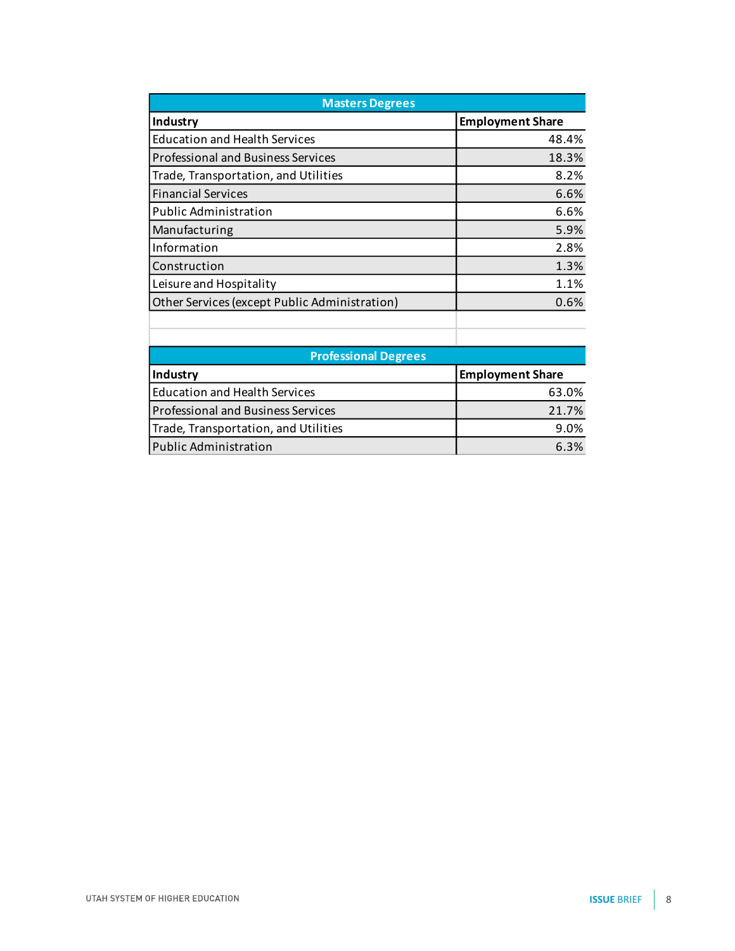| <b>Masters Degrees</b>                        |                         |  |
|-----------------------------------------------|-------------------------|--|
| Industry                                      | <b>Employment Share</b> |  |
| <b>Education and Health Services</b>          | 48.4%                   |  |
| <b>Professional and Business Services</b>     | 18.3%                   |  |
| Trade, Transportation, and Utilities          | 8.2%                    |  |
| <b>Financial Services</b>                     | 6.6%                    |  |
| <b>Public Administration</b>                  | 6.6%                    |  |
| Manufacturing                                 | 5.9%                    |  |
| Information                                   | 2.8%                    |  |
| Construction                                  | 1.3%                    |  |
| Leisure and Hospitality                       | 1.1%                    |  |
| Other Services (except Public Administration) | 0.6%                    |  |
|                                               |                         |  |

| <b>Professional Degrees</b>          |                         |  |
|--------------------------------------|-------------------------|--|
| Industry                             | <b>Employment Share</b> |  |
| <b>Education and Health Services</b> | 63.0%                   |  |
| Professional and Business Services   | 21.7%                   |  |
| Trade, Transportation, and Utilities | 9.0%                    |  |
| Public Administration                | 6.3%                    |  |